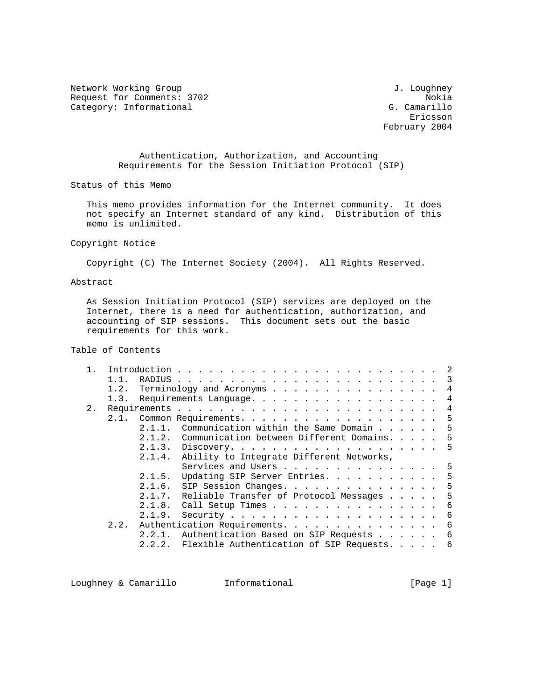Network Working Group 3. 2008 and 2008 and 2008 and 2008 and 2008 and 2012 and 2013 Request for Comments: 3702<br>Category: Informational delays and the camerillo Category: Informational

eric and the contract of the contract of the contract of the contract of the contract of the contract of the contract of the contract of the contract of the contract of the contract of the contract of the contract of the c February 2004

> Authentication, Authorization, and Accounting Requirements for the Session Initiation Protocol (SIP)

Status of this Memo

 This memo provides information for the Internet community. It does not specify an Internet standard of any kind. Distribution of this memo is unlimited.

Copyright Notice

Copyright (C) The Internet Society (2004). All Rights Reserved.

# Abstract

 As Session Initiation Protocol (SIP) services are deployed on the Internet, there is a need for authentication, authorization, and accounting of SIP sessions. This document sets out the basic requirements for this work.

Table of Contents

|    | 1.1. |                                                    |
|----|------|----------------------------------------------------|
|    | 1.2. | Terminology and Acronyms $\ldots$ 4                |
|    | 1.3. | Requirements Language. 4                           |
| 2. |      |                                                    |
|    | 2.1. | Common Requirements. 5                             |
|    |      | Communication within the Same Domain 5<br>2.1.1.   |
|    |      | 2.1.2. Communication between Different Domains5    |
|    |      |                                                    |
|    |      | 2.1.4. Ability to Integrate Different Networks,    |
|    |      | Services and Users 5                               |
|    |      | 2.1.5.<br>Updating SIP Server Entries. 5           |
|    |      | SIP Session Changes. 5<br>2.1.6.                   |
|    |      | Reliable Transfer of Protocol Messages 5<br>2.1.7. |
|    |      | Call Setup Times 6<br>2.1.8.                       |
|    |      | 2.1.9.                                             |
|    |      | 2.2. Authentication Requirements. 6                |
|    |      | 2.2.1. Authentication Based on SIP Requests 6      |
|    |      | 2.2.2. Flexible Authentication of SIP Requests 6   |
|    |      |                                                    |

Loughney & Camarillo Informational [Page 1]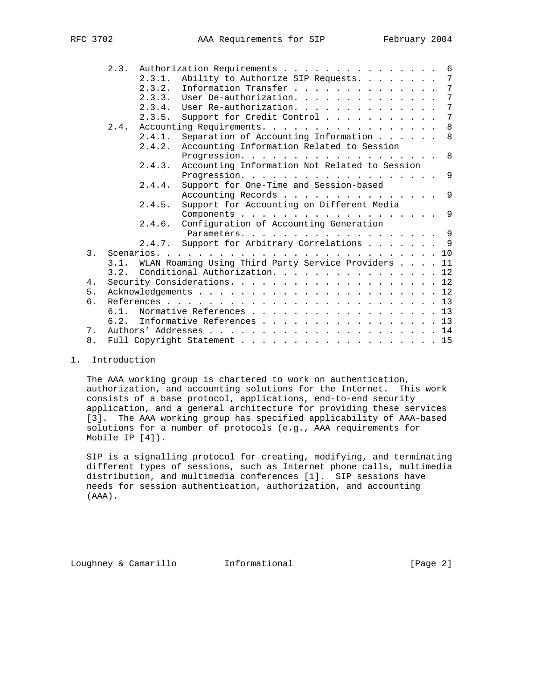|                | 2.3. Authorization Requirements 6                        |
|----------------|----------------------------------------------------------|
|                | Ability to Authorize SIP Requests. 7<br>2.3.1.           |
|                | Information Transfer 7<br>2.3.2.                         |
|                | 2.3.3. User De-authorization. 7                          |
|                | 2.3.4. User Re-authorization. 7                          |
|                | Support for Credit Control 7<br>2.3.5.                   |
|                | Accounting Requirements. 8<br>2.4.                       |
|                | Separation of Accounting Information 8<br>2.4.1.         |
|                | Accounting Information Related to Session<br>2.4.2.      |
|                | Progression. 8                                           |
|                | Accounting Information Not Related to Session<br>2.4.3.  |
|                | Progression. 9                                           |
|                | Support for One-Time and Session-based<br>2.4.4.         |
|                | Accounting Records 9                                     |
|                | Support for Accounting on Different Media<br>2.4.5.      |
|                |                                                          |
|                | 2.4.6. Configuration of Accounting Generation            |
|                |                                                          |
|                | 2.4.7. Support for Arbitrary Correlations 9              |
| $\mathcal{E}$  |                                                          |
|                | 3.1. WLAN Roaming Using Third Party Service Providers 11 |
|                | 3.2. Conditional Authorization. 12                       |
| 4.             |                                                          |
| 5.             |                                                          |
| б.             |                                                          |
|                | 6.1. Normative References 13                             |
|                | Informative References 13<br>6.2.                        |
| 7 <sub>1</sub> |                                                          |
| 8.             | Full Copyright Statement 15                              |
|                |                                                          |

# 1. Introduction

 The AAA working group is chartered to work on authentication, authorization, and accounting solutions for the Internet. This work consists of a base protocol, applications, end-to-end security application, and a general architecture for providing these services [3]. The AAA working group has specified applicability of AAA-based solutions for a number of protocols (e.g., AAA requirements for Mobile IP [4]).

 SIP is a signalling protocol for creating, modifying, and terminating different types of sessions, such as Internet phone calls, multimedia distribution, and multimedia conferences [1]. SIP sessions have needs for session authentication, authorization, and accounting (AAA).

Loughney & Camarillo Informational [Page 2]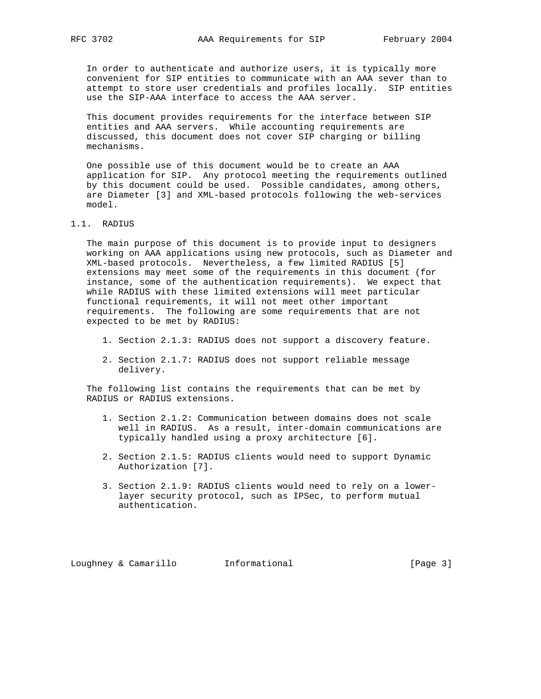In order to authenticate and authorize users, it is typically more convenient for SIP entities to communicate with an AAA sever than to attempt to store user credentials and profiles locally. SIP entities use the SIP-AAA interface to access the AAA server.

 This document provides requirements for the interface between SIP entities and AAA servers. While accounting requirements are discussed, this document does not cover SIP charging or billing mechanisms.

 One possible use of this document would be to create an AAA application for SIP. Any protocol meeting the requirements outlined by this document could be used. Possible candidates, among others, are Diameter [3] and XML-based protocols following the web-services model.

## 1.1. RADIUS

 The main purpose of this document is to provide input to designers working on AAA applications using new protocols, such as Diameter and XML-based protocols. Nevertheless, a few limited RADIUS [5] extensions may meet some of the requirements in this document (for instance, some of the authentication requirements). We expect that while RADIUS with these limited extensions will meet particular functional requirements, it will not meet other important requirements. The following are some requirements that are not expected to be met by RADIUS:

- 1. Section 2.1.3: RADIUS does not support a discovery feature.
- 2. Section 2.1.7: RADIUS does not support reliable message delivery.

 The following list contains the requirements that can be met by RADIUS or RADIUS extensions.

- 1. Section 2.1.2: Communication between domains does not scale well in RADIUS. As a result, inter-domain communications are typically handled using a proxy architecture [6].
- 2. Section 2.1.5: RADIUS clients would need to support Dynamic Authorization [7].
- 3. Section 2.1.9: RADIUS clients would need to rely on a lower layer security protocol, such as IPSec, to perform mutual authentication.

Loughney & Camarillo Informational [Page 3]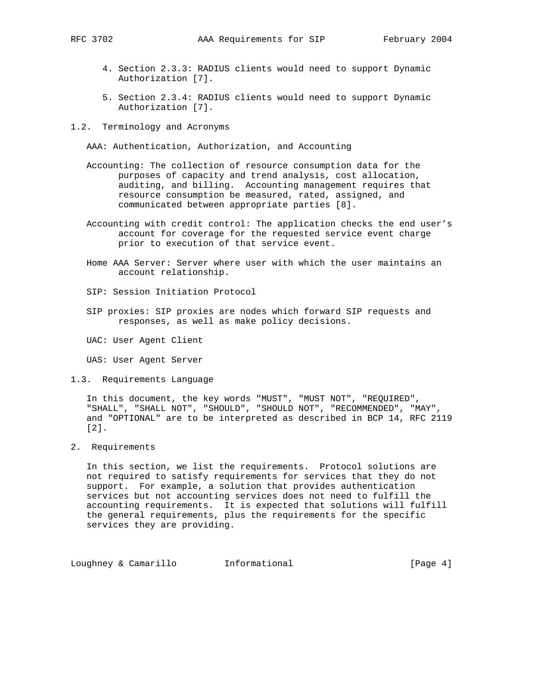- 4. Section 2.3.3: RADIUS clients would need to support Dynamic Authorization [7].
- 5. Section 2.3.4: RADIUS clients would need to support Dynamic Authorization [7].
- 1.2. Terminology and Acronyms

AAA: Authentication, Authorization, and Accounting

- Accounting: The collection of resource consumption data for the purposes of capacity and trend analysis, cost allocation, auditing, and billing. Accounting management requires that resource consumption be measured, rated, assigned, and communicated between appropriate parties [8].
- Accounting with credit control: The application checks the end user's account for coverage for the requested service event charge prior to execution of that service event.
- Home AAA Server: Server where user with which the user maintains an account relationship.
- SIP: Session Initiation Protocol
- SIP proxies: SIP proxies are nodes which forward SIP requests and responses, as well as make policy decisions.

UAC: User Agent Client

UAS: User Agent Server

1.3. Requirements Language

 In this document, the key words "MUST", "MUST NOT", "REQUIRED", "SHALL", "SHALL NOT", "SHOULD", "SHOULD NOT", "RECOMMENDED", "MAY", and "OPTIONAL" are to be interpreted as described in BCP 14, RFC 2119 [2].

2. Requirements

 In this section, we list the requirements. Protocol solutions are not required to satisfy requirements for services that they do not support. For example, a solution that provides authentication services but not accounting services does not need to fulfill the accounting requirements. It is expected that solutions will fulfill the general requirements, plus the requirements for the specific services they are providing.

Loughney & Camarillo **Informational** [Page 4]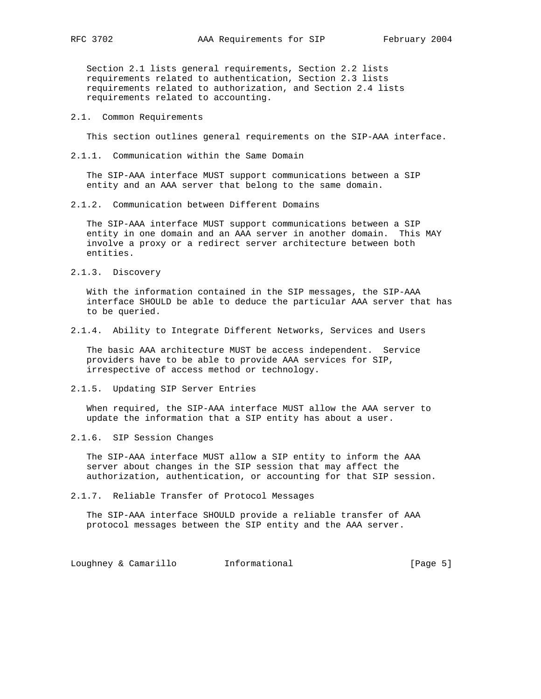Section 2.1 lists general requirements, Section 2.2 lists requirements related to authentication, Section 2.3 lists requirements related to authorization, and Section 2.4 lists requirements related to accounting.

#### 2.1. Common Requirements

This section outlines general requirements on the SIP-AAA interface.

2.1.1. Communication within the Same Domain

 The SIP-AAA interface MUST support communications between a SIP entity and an AAA server that belong to the same domain.

2.1.2. Communication between Different Domains

 The SIP-AAA interface MUST support communications between a SIP entity in one domain and an AAA server in another domain. This MAY involve a proxy or a redirect server architecture between both entities.

2.1.3. Discovery

 With the information contained in the SIP messages, the SIP-AAA interface SHOULD be able to deduce the particular AAA server that has to be queried.

2.1.4. Ability to Integrate Different Networks, Services and Users

 The basic AAA architecture MUST be access independent. Service providers have to be able to provide AAA services for SIP, irrespective of access method or technology.

2.1.5. Updating SIP Server Entries

 When required, the SIP-AAA interface MUST allow the AAA server to update the information that a SIP entity has about a user.

2.1.6. SIP Session Changes

 The SIP-AAA interface MUST allow a SIP entity to inform the AAA server about changes in the SIP session that may affect the authorization, authentication, or accounting for that SIP session.

2.1.7. Reliable Transfer of Protocol Messages

 The SIP-AAA interface SHOULD provide a reliable transfer of AAA protocol messages between the SIP entity and the AAA server.

Loughney & Camarillo **Informational Informational** [Page 5]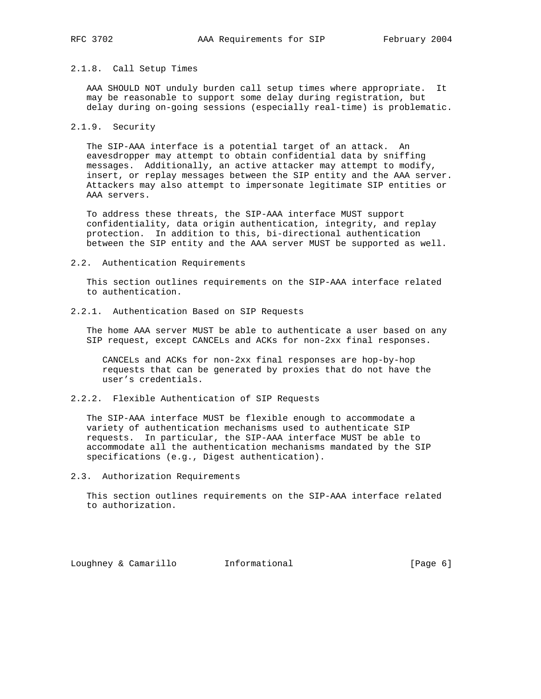### 2.1.8. Call Setup Times

 AAA SHOULD NOT unduly burden call setup times where appropriate. It may be reasonable to support some delay during registration, but delay during on-going sessions (especially real-time) is problematic.

#### 2.1.9. Security

 The SIP-AAA interface is a potential target of an attack. An eavesdropper may attempt to obtain confidential data by sniffing messages. Additionally, an active attacker may attempt to modify, insert, or replay messages between the SIP entity and the AAA server. Attackers may also attempt to impersonate legitimate SIP entities or AAA servers.

 To address these threats, the SIP-AAA interface MUST support confidentiality, data origin authentication, integrity, and replay protection. In addition to this, bi-directional authentication between the SIP entity and the AAA server MUST be supported as well.

#### 2.2. Authentication Requirements

 This section outlines requirements on the SIP-AAA interface related to authentication.

# 2.2.1. Authentication Based on SIP Requests

 The home AAA server MUST be able to authenticate a user based on any SIP request, except CANCELs and ACKs for non-2xx final responses.

 CANCELs and ACKs for non-2xx final responses are hop-by-hop requests that can be generated by proxies that do not have the user's credentials.

### 2.2.2. Flexible Authentication of SIP Requests

 The SIP-AAA interface MUST be flexible enough to accommodate a variety of authentication mechanisms used to authenticate SIP requests. In particular, the SIP-AAA interface MUST be able to accommodate all the authentication mechanisms mandated by the SIP specifications (e.g., Digest authentication).

2.3. Authorization Requirements

 This section outlines requirements on the SIP-AAA interface related to authorization.

Loughney & Camarillo Informational [Page 6]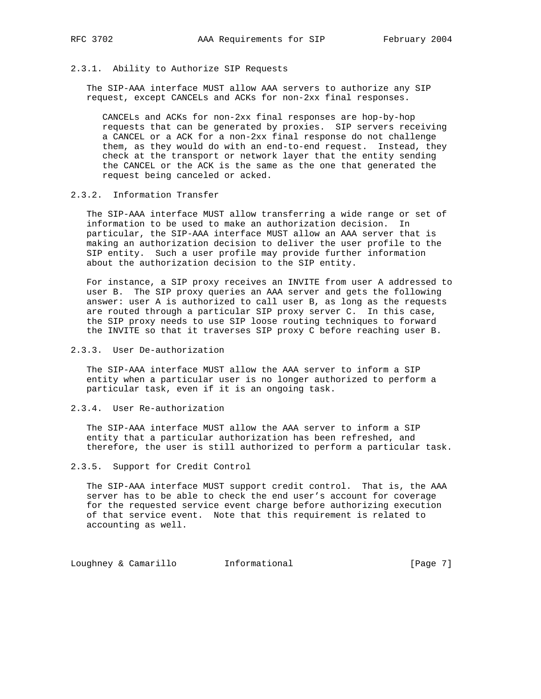## 2.3.1. Ability to Authorize SIP Requests

 The SIP-AAA interface MUST allow AAA servers to authorize any SIP request, except CANCELs and ACKs for non-2xx final responses.

 CANCELs and ACKs for non-2xx final responses are hop-by-hop requests that can be generated by proxies. SIP servers receiving a CANCEL or a ACK for a non-2xx final response do not challenge them, as they would do with an end-to-end request. Instead, they check at the transport or network layer that the entity sending the CANCEL or the ACK is the same as the one that generated the request being canceled or acked.

### 2.3.2. Information Transfer

 The SIP-AAA interface MUST allow transferring a wide range or set of information to be used to make an authorization decision. In particular, the SIP-AAA interface MUST allow an AAA server that is making an authorization decision to deliver the user profile to the SIP entity. Such a user profile may provide further information about the authorization decision to the SIP entity.

 For instance, a SIP proxy receives an INVITE from user A addressed to user B. The SIP proxy queries an AAA server and gets the following answer: user A is authorized to call user B, as long as the requests are routed through a particular SIP proxy server C. In this case, the SIP proxy needs to use SIP loose routing techniques to forward the INVITE so that it traverses SIP proxy C before reaching user B.

# 2.3.3. User De-authorization

 The SIP-AAA interface MUST allow the AAA server to inform a SIP entity when a particular user is no longer authorized to perform a particular task, even if it is an ongoing task.

2.3.4. User Re-authorization

 The SIP-AAA interface MUST allow the AAA server to inform a SIP entity that a particular authorization has been refreshed, and therefore, the user is still authorized to perform a particular task.

#### 2.3.5. Support for Credit Control

 The SIP-AAA interface MUST support credit control. That is, the AAA server has to be able to check the end user's account for coverage for the requested service event charge before authorizing execution of that service event. Note that this requirement is related to accounting as well.

Loughney & Camarillo Informational [Page 7]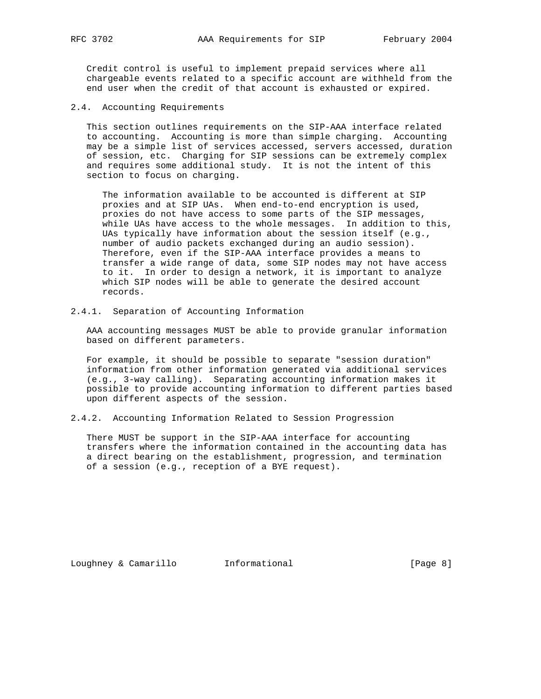Credit control is useful to implement prepaid services where all chargeable events related to a specific account are withheld from the end user when the credit of that account is exhausted or expired.

2.4. Accounting Requirements

 This section outlines requirements on the SIP-AAA interface related to accounting. Accounting is more than simple charging. Accounting may be a simple list of services accessed, servers accessed, duration of session, etc. Charging for SIP sessions can be extremely complex and requires some additional study. It is not the intent of this section to focus on charging.

 The information available to be accounted is different at SIP proxies and at SIP UAs. When end-to-end encryption is used, proxies do not have access to some parts of the SIP messages, while UAs have access to the whole messages. In addition to this, UAs typically have information about the session itself (e.g., number of audio packets exchanged during an audio session). Therefore, even if the SIP-AAA interface provides a means to transfer a wide range of data, some SIP nodes may not have access to it. In order to design a network, it is important to analyze which SIP nodes will be able to generate the desired account records.

2.4.1. Separation of Accounting Information

 AAA accounting messages MUST be able to provide granular information based on different parameters.

 For example, it should be possible to separate "session duration" information from other information generated via additional services (e.g., 3-way calling). Separating accounting information makes it possible to provide accounting information to different parties based upon different aspects of the session.

2.4.2. Accounting Information Related to Session Progression

 There MUST be support in the SIP-AAA interface for accounting transfers where the information contained in the accounting data has a direct bearing on the establishment, progression, and termination of a session (e.g., reception of a BYE request).

Loughney & Camarillo Informational [Page 8]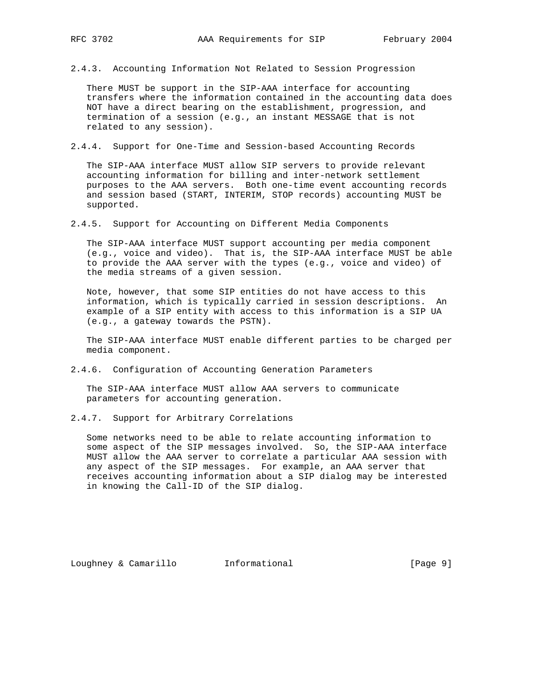- 
- 2.4.3. Accounting Information Not Related to Session Progression

 There MUST be support in the SIP-AAA interface for accounting transfers where the information contained in the accounting data does NOT have a direct bearing on the establishment, progression, and termination of a session (e.g., an instant MESSAGE that is not related to any session).

2.4.4. Support for One-Time and Session-based Accounting Records

 The SIP-AAA interface MUST allow SIP servers to provide relevant accounting information for billing and inter-network settlement purposes to the AAA servers. Both one-time event accounting records and session based (START, INTERIM, STOP records) accounting MUST be supported.

2.4.5. Support for Accounting on Different Media Components

 The SIP-AAA interface MUST support accounting per media component (e.g., voice and video). That is, the SIP-AAA interface MUST be able to provide the AAA server with the types (e.g., voice and video) of the media streams of a given session.

 Note, however, that some SIP entities do not have access to this information, which is typically carried in session descriptions. An example of a SIP entity with access to this information is a SIP UA (e.g., a gateway towards the PSTN).

 The SIP-AAA interface MUST enable different parties to be charged per media component.

2.4.6. Configuration of Accounting Generation Parameters

 The SIP-AAA interface MUST allow AAA servers to communicate parameters for accounting generation.

2.4.7. Support for Arbitrary Correlations

 Some networks need to be able to relate accounting information to some aspect of the SIP messages involved. So, the SIP-AAA interface MUST allow the AAA server to correlate a particular AAA session with any aspect of the SIP messages. For example, an AAA server that receives accounting information about a SIP dialog may be interested in knowing the Call-ID of the SIP dialog.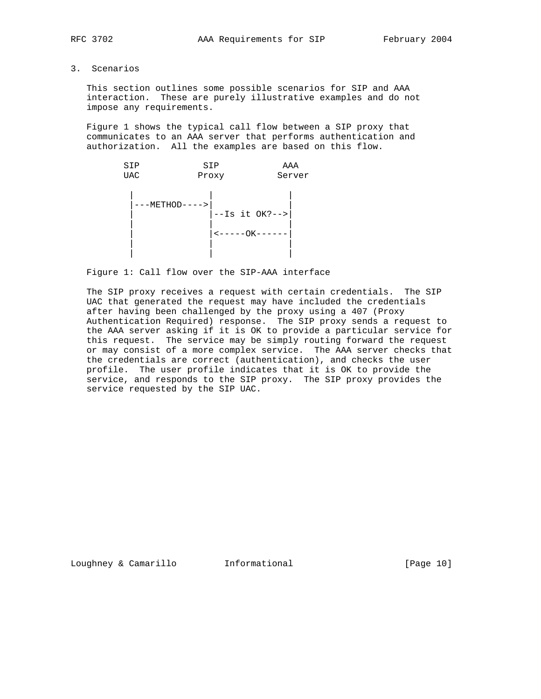3. Scenarios

 This section outlines some possible scenarios for SIP and AAA interaction. These are purely illustrative examples and do not impose any requirements.

 Figure 1 shows the typical call flow between a SIP proxy that communicates to an AAA server that performs authentication and authorization. All the examples are based on this flow.



Figure 1: Call flow over the SIP-AAA interface

 The SIP proxy receives a request with certain credentials. The SIP UAC that generated the request may have included the credentials after having been challenged by the proxy using a 407 (Proxy Authentication Required) response. The SIP proxy sends a request to the AAA server asking if it is OK to provide a particular service for this request. The service may be simply routing forward the request or may consist of a more complex service. The AAA server checks that the credentials are correct (authentication), and checks the user profile. The user profile indicates that it is OK to provide the service, and responds to the SIP proxy. The SIP proxy provides the service requested by the SIP UAC.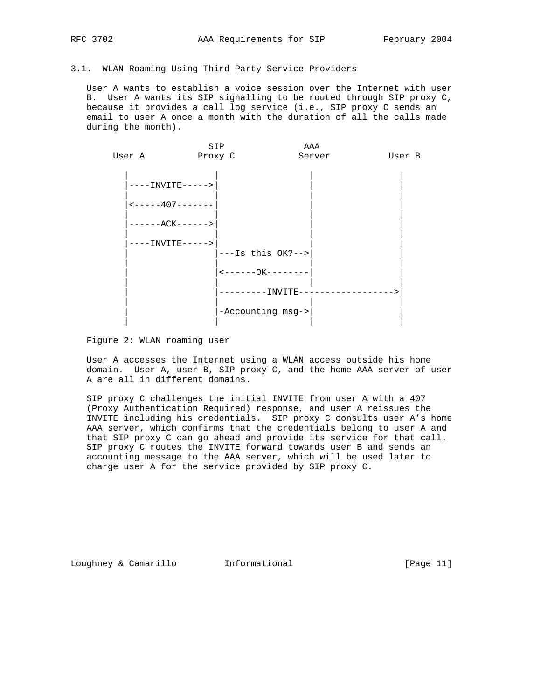# 3.1. WLAN Roaming Using Third Party Service Providers

 User A wants to establish a voice session over the Internet with user B. User A wants its SIP signalling to be routed through SIP proxy C, because it provides a call log service (i.e., SIP proxy C sends an email to user A once a month with the duration of all the calls made during the month).



Figure 2: WLAN roaming user

 User A accesses the Internet using a WLAN access outside his home domain. User A, user B, SIP proxy C, and the home AAA server of user A are all in different domains.

 SIP proxy C challenges the initial INVITE from user A with a 407 (Proxy Authentication Required) response, and user A reissues the INVITE including his credentials. SIP proxy C consults user A's home AAA server, which confirms that the credentials belong to user A and that SIP proxy C can go ahead and provide its service for that call. SIP proxy C routes the INVITE forward towards user B and sends an accounting message to the AAA server, which will be used later to charge user A for the service provided by SIP proxy C.

Loughney & Camarillo Informational [Page 11]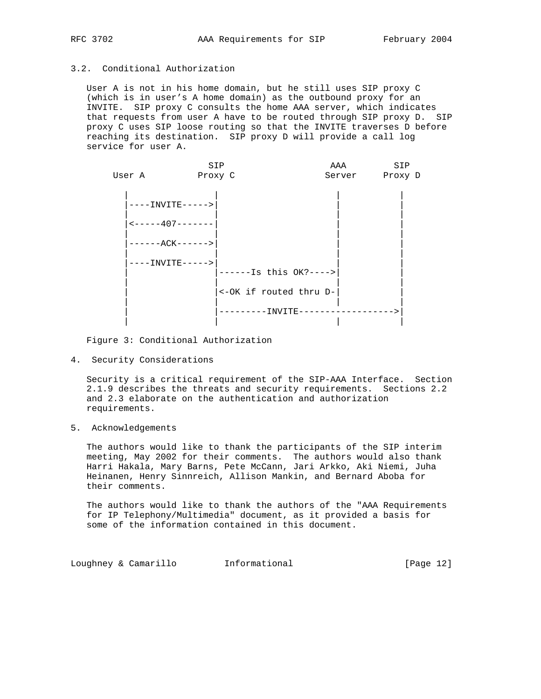# 3.2. Conditional Authorization

 User A is not in his home domain, but he still uses SIP proxy C (which is in user's A home domain) as the outbound proxy for an INVITE. SIP proxy C consults the home AAA server, which indicates that requests from user A have to be routed through SIP proxy D. SIP proxy C uses SIP loose routing so that the INVITE traverses D before reaching its destination. SIP proxy D will provide a call log service for user A.

|        | SIP                                      |                        | AAA            | SIP |
|--------|------------------------------------------|------------------------|----------------|-----|
| User A | Proxy C                                  |                        | Server Proxy D |     |
|        |                                          |                        |                |     |
|        |                                          |                        |                |     |
|        | ----INVITE----->                         |                        |                |     |
|        |                                          |                        |                |     |
|        | $\leftarrow$ - - - - - 407 - - - - - - - |                        |                |     |
|        |                                          |                        |                |     |
|        | ------ACK------>                         |                        |                |     |
|        |                                          |                        |                |     |
|        | ----INVITE----->                         |                        |                |     |
|        |                                          | $----Is this OK?--->$  |                |     |
|        |                                          |                        |                |     |
|        |                                          | <-OK if routed thru D- |                |     |
|        |                                          |                        |                |     |
|        |                                          | --------INVITE-------  |                |     |
|        |                                          |                        |                |     |

Figure 3: Conditional Authorization

4. Security Considerations

 Security is a critical requirement of the SIP-AAA Interface. Section 2.1.9 describes the threats and security requirements. Sections 2.2 and 2.3 elaborate on the authentication and authorization requirements.

5. Acknowledgements

 The authors would like to thank the participants of the SIP interim meeting, May 2002 for their comments. The authors would also thank Harri Hakala, Mary Barns, Pete McCann, Jari Arkko, Aki Niemi, Juha Heinanen, Henry Sinnreich, Allison Mankin, and Bernard Aboba for their comments.

The authors would like to thank the authors of the "AAA Requirements for IP Telephony/Multimedia" document, as it provided a basis for some of the information contained in this document.

Loughney & Camarillo Informational [Page 12]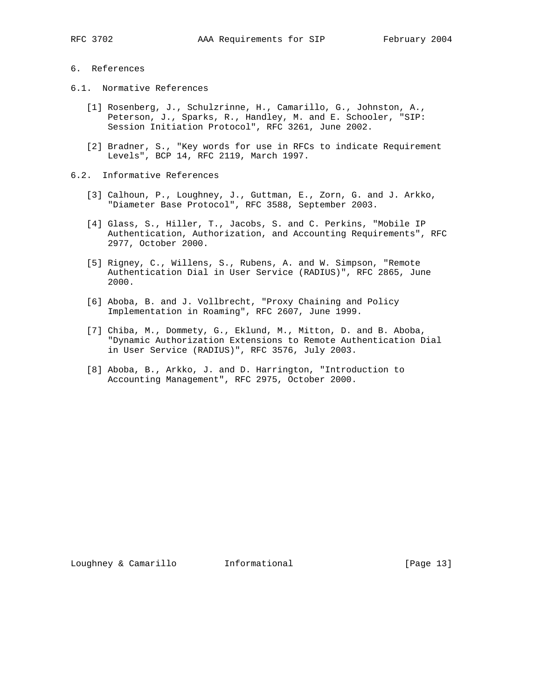# 6. References

- 6.1. Normative References
	- [1] Rosenberg, J., Schulzrinne, H., Camarillo, G., Johnston, A., Peterson, J., Sparks, R., Handley, M. and E. Schooler, "SIP: Session Initiation Protocol", RFC 3261, June 2002.
	- [2] Bradner, S., "Key words for use in RFCs to indicate Requirement Levels", BCP 14, RFC 2119, March 1997.
- 6.2. Informative References
	- [3] Calhoun, P., Loughney, J., Guttman, E., Zorn, G. and J. Arkko, "Diameter Base Protocol", RFC 3588, September 2003.
	- [4] Glass, S., Hiller, T., Jacobs, S. and C. Perkins, "Mobile IP Authentication, Authorization, and Accounting Requirements", RFC 2977, October 2000.
	- [5] Rigney, C., Willens, S., Rubens, A. and W. Simpson, "Remote Authentication Dial in User Service (RADIUS)", RFC 2865, June 2000.
	- [6] Aboba, B. and J. Vollbrecht, "Proxy Chaining and Policy Implementation in Roaming", RFC 2607, June 1999.
	- [7] Chiba, M., Dommety, G., Eklund, M., Mitton, D. and B. Aboba, "Dynamic Authorization Extensions to Remote Authentication Dial in User Service (RADIUS)", RFC 3576, July 2003.
	- [8] Aboba, B., Arkko, J. and D. Harrington, "Introduction to Accounting Management", RFC 2975, October 2000.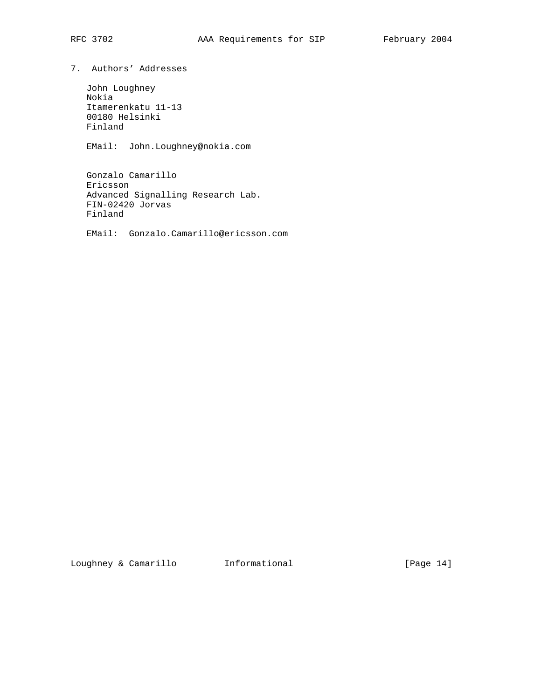7. Authors' Addresses

 John Loughney Nokia Itamerenkatu 11-13 00180 Helsinki Finland

EMail: John.Loughney@nokia.com

 Gonzalo Camarillo Ericsson Advanced Signalling Research Lab. FIN-02420 Jorvas Finland

EMail: Gonzalo.Camarillo@ericsson.com